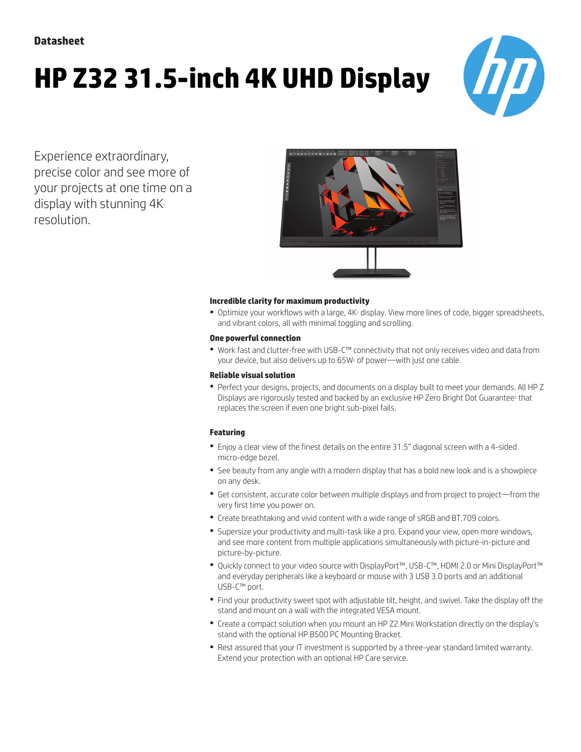# **HP Z32 31.5-inch 4K UHD Display**



Experience extraordinary, precise color and see more of your projects at one time on a display with stunning  $4K_1$ resolution.



#### **Incredible clarity for maximum productivity**

• Optimize your workflows with a large, 4K<sup>1</sup> display. View more lines of code, bigger spreadsheets, and vibrant colors, all with minimal toggling and scrolling.

#### **One powerful connection**

● Work fast and clutter-free with USB-C™ connectivity that not only receives video and data from your device, but also delivers up to 65W<sup>2</sup> of power—with just one cable.

#### **Reliable visual solution**

● Perfect your designs, projects, and documents on a display built to meet your demands. All HP Z Displays are rigorously tested and backed by an exclusive HP Zero Bright Dot Guarantee<sup>3</sup> that replaces the screen if even one bright sub-pixel fails.

#### **Featuring**

- Enjoy a clear view of the finest details on the entire 31.5" diagonal screen with a 4-sided micro-edge bezel.
- See beauty from any angle with a modern display that has a bold new look and is a showpiece on any desk.
- Get consistent, accurate color between multiple displays and from project to project—from the very first time you power on.
- Create breathtaking and vivid content with a wide range of sRGB and BT.709 colors.
- Supersize your productivity and multi-task like a pro. Expand your view, open more windows, and see more content from multiple applications simultaneously with picture-in-picture and picture-by-picture.
- Quickly connect to your video source with DisplayPort™, USB-C™, HDMI 2.0 or Mini DisplayPort™ and everyday peripherals like a keyboard or mouse with 3 USB 3.0 ports and an additional USB-C™ port.
- Find your productivity sweet spot with adjustable tilt, height, and swivel. Take the display off the stand and mount on a wall with the integrated VESA mount.
- Create a compact solution when you mount an HP Z2 Mini Workstation directly on the display's stand with the optional HP B500 PC Mounting Bracket.
- Rest assured that your IT investment is supported by a three-year standard limited warranty. Extend your protection with an optional HP Care service.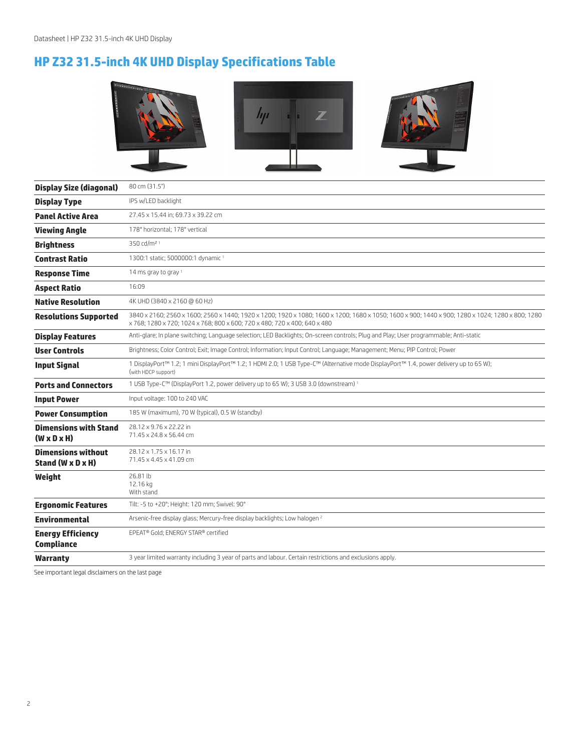## **HP Z32 31.5-inch 4K UHD Display Specifications Table**



| <b>Display Size (diagonal)</b>                          | 80 cm (31.5")                                                                                                                                                                                                                 |  |  |
|---------------------------------------------------------|-------------------------------------------------------------------------------------------------------------------------------------------------------------------------------------------------------------------------------|--|--|
| <b>Display Type</b>                                     | IPS w/LED backlight                                                                                                                                                                                                           |  |  |
| <b>Panel Active Area</b>                                | 27.45 x 15.44 in; 69.73 x 39.22 cm                                                                                                                                                                                            |  |  |
| <b>Viewing Angle</b>                                    | 178° horizontal; 178° vertical                                                                                                                                                                                                |  |  |
| <b>Brightness</b>                                       | 350 cd/m <sup>2 1</sup>                                                                                                                                                                                                       |  |  |
| <b>Contrast Ratio</b>                                   | 1300:1 static; 5000000:1 dynamic 1                                                                                                                                                                                            |  |  |
| <b>Response Time</b>                                    | 14 ms gray to gray 1                                                                                                                                                                                                          |  |  |
| <b>Aspect Ratio</b>                                     | 16:09                                                                                                                                                                                                                         |  |  |
| <b>Native Resolution</b>                                | 4K UHD (3840 x 2160 @ 60 Hz)                                                                                                                                                                                                  |  |  |
| <b>Resolutions Supported</b>                            | 3840 x 2160; 2560 x 1600; 2560 x 1440; 1920 x 1200; 1920 x 1080; 1600 x 1200; 1680 x 1050; 1600 x 900; 1440 x 900; 1280 x 1024; 1280 x 800; 1280<br>x 768; 1280 x 720; 1024 x 768; 800 x 600; 720 x 480; 720 x 400; 640 x 480 |  |  |
| <b>Display Features</b>                                 | Anti-glare; In plane switching; Language selection; LED Backlights; On-screen controls; Plug and Play; User programmable; Anti-static                                                                                         |  |  |
| <b>User Controls</b>                                    | Brightness; Color Control; Exit; Image Control; Information; Input Control; Language; Management; Menu; PIP Control; Power                                                                                                    |  |  |
| <b>Input Signal</b>                                     | 1 DisplayPort™ 1.2; 1 mini DisplayPort™ 1.2; 1 HDMI 2.0; 1 USB Type-C™ (Alternative mode DisplayPort™ 1.4, power delivery up to 65 W);<br>(with HDCP support)                                                                 |  |  |
| <b>Ports and Connectors</b>                             | 1 USB Type-C™ (DisplayPort 1.2, power delivery up to 65 W); 3 USB 3.0 (downstream) 1                                                                                                                                          |  |  |
| <b>Input Power</b>                                      | Input voltage: 100 to 240 VAC                                                                                                                                                                                                 |  |  |
| <b>Power Consumption</b>                                | 185 W (maximum), 70 W (typical), 0.5 W (standby)                                                                                                                                                                              |  |  |
| <b>Dimensions with Stand</b><br>$(W \times D \times H)$ | 28.12 x 9.76 x 22.22 in<br>71.45 x 24.8 x 56.44 cm                                                                                                                                                                            |  |  |
| <b>Dimensions without</b><br>Stand (W x D x H)          | 28.12 x 1.75 x 16.17 in<br>71.45 x 4.45 x 41.09 cm                                                                                                                                                                            |  |  |
| Weight                                                  | 26.81 lb<br>12.16 kg<br>With stand                                                                                                                                                                                            |  |  |
| <b>Ergonomic Features</b>                               | Tilt: -5 to +20°; Height: 120 mm; Swivel: 90°                                                                                                                                                                                 |  |  |
| <b>Environmental</b>                                    | Arsenic-free display glass; Mercury-free display backlights; Low halogen <sup>2</sup>                                                                                                                                         |  |  |
| <b>Energy Efficiency</b><br><b>Compliance</b>           | EPEAT® Gold; ENERGY STAR® certified                                                                                                                                                                                           |  |  |
| <b>Warranty</b>                                         | 3 year limited warranty including 3 year of parts and labour. Certain restrictions and exclusions apply.                                                                                                                      |  |  |
|                                                         |                                                                                                                                                                                                                               |  |  |

See important legal disclaimers on the last page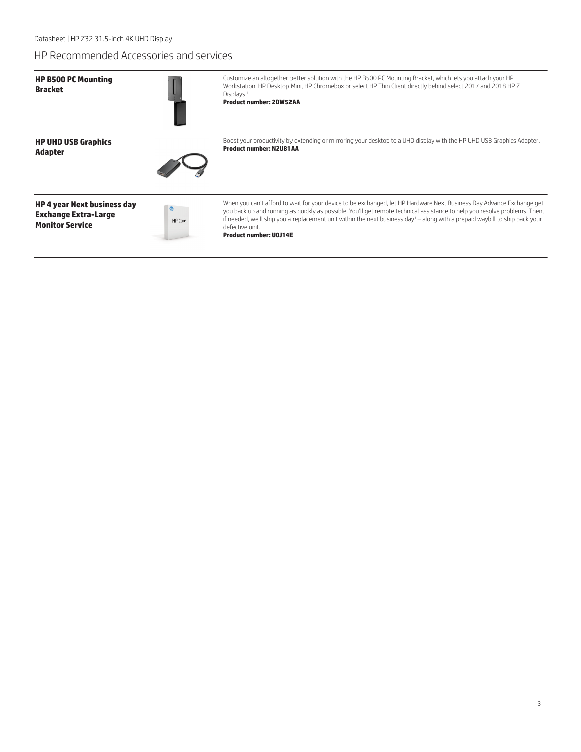### HP Recommended Accessories and services

| <b>HP B500 PC Mounting</b><br><b>Bracket</b>                                                |                | Customize an altogether better solution with the HP B500 PC Mounting Bracket, which lets you attach your HP<br>Workstation, HP Desktop Mini, HP Chromebox or select HP Thin Client directly behind select 2017 and 2018 HP Z<br>Displays. <sup>1</sup><br><b>Product number: 2DW52AA</b>                                                                                                                                                           |
|---------------------------------------------------------------------------------------------|----------------|----------------------------------------------------------------------------------------------------------------------------------------------------------------------------------------------------------------------------------------------------------------------------------------------------------------------------------------------------------------------------------------------------------------------------------------------------|
| <b>HP UHD USB Graphics</b><br><b>Adapter</b>                                                |                | Boost your productivity by extending or mirroring your desktop to a UHD display with the HP UHD USB Graphics Adapter.<br><b>Product number: N2U81AA</b>                                                                                                                                                                                                                                                                                            |
| <b>HP 4 year Next business day</b><br><b>Exchange Extra-Large</b><br><b>Monitor Service</b> | <b>HP</b> Care | When you can't afford to wait for your device to be exchanged, let HP Hardware Next Business Day Advance Exchange get<br>you back up and running as quickly as possible. You'll get remote technical assistance to help you resolve problems. Then,<br>if needed, we'll ship you a replacement unit within the next business day <sup>1</sup> - along with a prepaid waybill to ship back your<br>defective unit.<br><b>Product number: UOJ14E</b> |